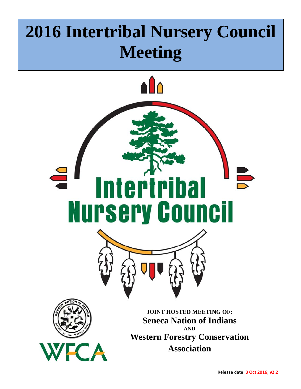# **2016 Intertribal Nursery Council Meeting**

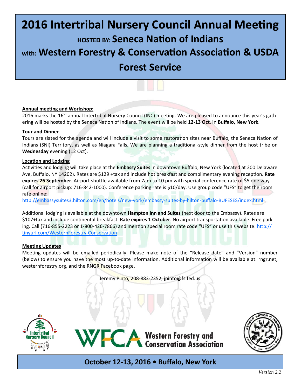## **2016 Intertribal Nursery Council Annual Meeting**

**HOSTED BY: Seneca NaƟon of Indians**

**with: Western Forestry & Conservation Association & USDA** 

## **Forest Service**



#### **Annual meeƟng and Workshop:**

2016 marks the 16<sup>th</sup> annual Intertribal Nursery Council (INC) meeting. We are pleased to announce this year's gathering will be hosted by the Seneca NaƟon of Indians. The event will be held **12‐13 Oct**, in **Buffalo, New York**.

#### **Tour and Dinner**

Tours are slated for the agenda and will include a visit to some restoration sites near Buffalo, the Seneca Nation of Indians (SNI) Territory, as well as Niagara Falls. We are planning a traditional-style dinner from the host tribe on **Wednesday** evening (12 Oct).

#### **LocaƟon and Lodging**

Activities and lodging will take place at the **Embassy Suites** in downtown Buffalo, New York (located at 200 Delaware Ave, Buffalo, NY 14202). Rates are \$129 +tax and include hot breakfast and complimentary evening reception. Rate expires 26 September. Airport shuttle available from 7am to 10 pm with special conference rate of \$5 one way (call for airport pickup: 716-842-1000). Conference parking rate is \$10/day. Use group code "UFS" to get the room rate online:

http://embassysuites3.hilton.com/en/hotels/new-york/embassy-suites-by-hilton-buffalo-BUFESES/index.html

Additional lodging is available at the downtown **Hampton Inn and Suites** (next door to the Embassy). Rates are \$107+tax and include continental breakfast. Rate expires 1 October. No airport transportation available. Free parking. Call (716-855-2223 or 1-800-426-7866) and mention special room rate code "UFS" or use this website: http:// tinyurl.com/WesternForestry-Conservation

#### **Meeting Updates**

Meeting updates will be emailed periodically. Please make note of the "Release date" and "Version" number (below) to ensure you have the most up-to-date information. Additional information will be available at: rngr.net, westernforestry.org, and the RNGR Facebook page.

Jeremy Pinto, 208-883-2352, jpinto@fs.fed.us





**October 12‐13, 2016 • Buffalo, New York** 

WFCA Western Forestry and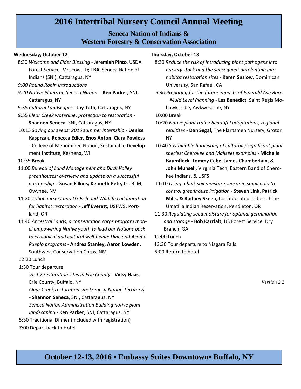## **2016 Intertribal Nursery Council Annual Meeting**

## **Seneca Nation of Indians & Western Forestry & Conservation Association**

#### **Wednesday, October 12**

- 8:30 *Welcome and Elder Blessing ‐* **Jeremiah Pinto**, USDA Forest Service, Moscow, ID; TBA, Seneca Nation of Indians (SNI), Cattaragus, NY
- *9:00 Round Robin IntroducƟons*
- *9:20 NaƟve Plants on Seneca NaƟon*  **Ken Parker**, SNI, Cattaragus, NY
- 9:35 *Cultural Landscapes* **Jay Toth**, Cattaragus, NY
- 9:55 *Clear Creek waterline: protection to restoration -***Shannon Seneca, SNI, Cattaragus, NY**
- 10:15 *Saving our seeds: 2016 summer internship*  **Denise Kasprzak, Rebecca Edler, Enos Anton, Ciara Powless** - College of Menominee Nation, Sustainable Development Institute, Keshena, WI

#### 10:35 **Break**

- 11:00 *Bureau of Land Management and Duck Valley greenhouses: overview and update on a successful partnership* - **Susan Filkins, Kenneth Pete, Jr**., BLM, Owyhee, NV
- 11:20 Tribal nursery and US Fish and Wildlife collaboration *for habitat restoraƟon* - **Jeff EvereƩ**, USFWS, Portland, OR
- 11:40 Ancestral Lands, a conservation corps program mod*el empowering NaƟve youth to lead our NaƟons back to ecological and cultural well‐being: Diné and Acoma Pueblo programs* - **Andrea Stanley, Aaron Lowden**, Southwest Conservation Corps, NM

#### 12:20 Lunch

#### 1:30 Tour departure

*Visit 2 restoraƟon sites in Erie County* - **Vicky Haas**, Erie County, Buffalo, NY *Clear Creek restoraƟon site (Seneca NaƟon Territory)* 

- **Shannon Seneca**, SNI, Cattaragus, NY

*Seneca NaƟon AdministraƟon Building naƟve plant* 

*landscaping* - Ken Parker, SNI, Cattaragus, NY

5:30 Traditional Dinner (included with registration) 7:00 Depart back to Hotel

#### **Thursday, October 13**

- 8:30 *Reduce the risk of introducing plant pathogens into nursery stock and the subsequent outplanting into habitat restoraƟon sites* - **Karen Suslow**, Dominican University, San Rafael, CA
- *9:30 Preparing for the future impacts of Emerald Ash Borer – MulƟ Level Planning* - **Les Benedict**, Saint Regis Mohawk Tribe, Awkwesasne, NY

10:00 Break

- 10:20 *NaƟve plant traits: beauƟful adaptaƟons, regional realiƟtes ‐* **Dan Segal**, The Plantsmen Nursery, Groton, NY
- 10:40 *Sustainable harvesƟng of culturally‐significant plant species: Cherokee and Maliseet examples* - **Michelle Baumfleck, Tommy Cabe, James Chamberlain, & John Munsell**, Virginia Tech, Eastern Band of Cherokee Indians, & USFS
- 11:10 *Using a bulk soil moisture sensor in small pots to control greenhouse irrigaƟon* - **Steven Link, Patrick Mills, & Rodney Skeen**, Confederated Tribes of the Umatilla Indian Reservation, Pendleton, OR
- 11:30 Regulating seed moisture for optimal germination *and storage* - **Bob Karrfalt**, US Forest Service, Dry Branch, GA

12:00 Lunch

13:30 Tour departure to Niagara Falls 5:00 Return to hotel

 *Version 2.2*

## **October 12-13, 2016 • Embassy Suites Downtown• Buffalo, NY**